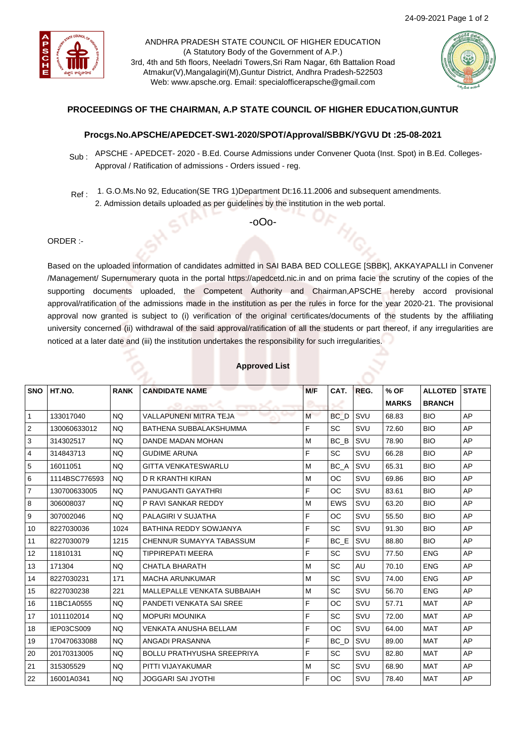

ANDHRA PRADESH STATE COUNCIL OF HIGHER EDUCATION (A Statutory Body of the Government of A.P.) 3rd, 4th and 5th floors, Neeladri Towers,Sri Ram Nagar, 6th Battalion Road Atmakur(V),Mangalagiri(M),Guntur District, Andhra Pradesh-522503 Web: www.apsche.org. Email: specialofficerapsche@gmail.com



## **PROCEEDINGS OF THE CHAIRMAN, A.P STATE COUNCIL OF HIGHER EDUCATION,GUNTUR**

## **Procgs.No.APSCHE/APEDCET-SW1-2020/SPOT/Approval/SBBK/YGVU Dt :25-08-2021**

- Sub : APSCHE APEDCET- 2020 B.Ed. Course Admissions under Convener Quota (Inst. Spot) in B.Ed. Colleges-Approval / Ratification of admissions - Orders issued - reg.
- Ref : 1. G.O.Ms.No 92, Education(SE TRG 1)Department Dt:16.11.2006 and subsequent amendments.
	- 2. Admission details uploaded as per guidelines by the institution in the web portal.

-oOo-

## ORDER :-

Based on the uploaded information of candidates admitted in SAI BABA BED COLLEGE [SBBK], AKKAYAPALLI in Convener /Management/ Supernumerary quota in the portal https://apedcetd.nic.in and on prima facie the scrutiny of the copies of the supporting documents uploaded, the Competent Authority and Chairman,APSCHE hereby accord provisional approval/ratification of the admissions made in the institution as per the rules in force for the year 2020-21. The provisional approval now granted is subject to (i) verification of the original certificates/documents of the students by the affiliating university concerned (ii) withdrawal of the said approval/ratification of all the students or part thereof, if any irregularities are noticed at a later date and (iii) the institution undertakes the responsibility for such irregularities.

| <b>SNO</b>     | HT.NO.        | <b>RANK</b> | <b>CANDIDATE NAME</b>             | M/F | CAT.            | REG. | % OF         | <b>ALLOTED</b> | <b>STATE</b> |
|----------------|---------------|-------------|-----------------------------------|-----|-----------------|------|--------------|----------------|--------------|
|                |               |             |                                   |     |                 |      | <b>MARKS</b> | <b>BRANCH</b>  |              |
| $\overline{1}$ | 133017040     | <b>NQ</b>   | <b>VALLAPUNENI MITRA TEJA</b>     | M   | BC <sub>D</sub> | SVU  | 68.83        | <b>BIO</b>     | AP           |
| $\overline{2}$ | 130060633012  | NQ.         | BATHENA SUBBALAKSHUMMA            | F   | <b>SC</b>       | SVU  | 72.60        | <b>BIO</b>     | AP           |
| 3              | 314302517     | <b>NQ</b>   | DANDE MADAN MOHAN                 | M   | BC B            | SVU  | 78.90        | <b>BIO</b>     | AP           |
| $\overline{4}$ | 314843713     | <b>NQ</b>   | <b>GUDIME ARUNA</b>               | F   | <b>SC</b>       | SVU  | 66.28        | <b>BIO</b>     | AP           |
| 5              | 16011051      | <b>NQ</b>   | <b>GITTA VENKATESWARLU</b>        | M   | BC A            | SVU  | 65.31        | <b>BIO</b>     | AP           |
| 6              | 1114BSC776593 | NQ.         | D R KRANTHI KIRAN                 | M   | OC              | SVU  | 69.86        | <b>BIO</b>     | AP           |
| $\overline{7}$ | 130700633005  | <b>NO</b>   | PANUGANTI GAYATHRI                | F   | <b>OC</b>       | SVU  | 83.61        | <b>BIO</b>     | AP           |
| 8              | 306008037     | <b>NQ</b>   | P RAVI SANKAR REDDY               | M   | <b>EWS</b>      | SVU  | 63.20        | <b>BIO</b>     | AP           |
| l 9            | 307002046     | <b>NQ</b>   | PALAGIRI V SUJATHA                | E   | ОC              | SVU  | 55.50        | <b>BIO</b>     | AP           |
| 10             | 8227030036    | 1024        | BATHINA REDDY SOWJANYA            | F   | <b>SC</b>       | SVU  | 91.30        | <b>BIO</b>     | AP           |
| 11             | 8227030079    | 1215        | CHENNUR SUMAYYA TABASSUM          | F   | BC E            | SVU  | 88.80        | <b>BIO</b>     | AP           |
| 12             | 11810131      | NQ.         | TIPPIREPATI MEERA                 | F   | <b>SC</b>       | SVU  | 77.50        | <b>ENG</b>     | AP           |
| 13             | 171304        | <b>NQ</b>   | <b>CHATLA BHARATH</b>             | M   | <b>SC</b>       | AU   | 70.10        | <b>ENG</b>     | AP           |
| 14             | 8227030231    | 171         | <b>MACHA ARUNKUMAR</b>            | M   | <b>SC</b>       | SVU  | 74.00        | <b>ENG</b>     | AP           |
| 15             | 8227030238    | 221         | MALLEPALLE VENKATA SUBBAIAH       | M   | <b>SC</b>       | SVU  | 56.70        | <b>ENG</b>     | AP           |
| 16             | 11BC1A0555    | <b>NO</b>   | PANDETI VENKATA SAI SREE          | F   | ОC              | SVU  | 57.71        | <b>MAT</b>     | AP           |
| 17             | 1011102014    | <b>NQ</b>   | <b>MOPURI MOUNIKA</b>             | E   | <b>SC</b>       | SVU  | 72.00        | <b>MAT</b>     | AP           |
| 18             | IEP03CS009    | <b>NO</b>   | VENKATA ANUSHA BELLAM             | E   | <b>OC</b>       | SVU  | 64.00        | <b>MAT</b>     | AP           |
| 19             | 170470633088  | <b>NQ</b>   | ANGADI PRASANNA                   | E   | BC D            | SVU  | 89.00        | <b>MAT</b>     | AP           |
| 20             | 20170313005   | NQ.         | <b>BOLLU PRATHYUSHA SREEPRIYA</b> | F   | <b>SC</b>       | SVU  | 82.80        | <b>MAT</b>     | AP           |
| 21             | 315305529     | NQ.         | PITTI VIJAYAKUMAR                 | M   | <b>SC</b>       | SVU  | 68.90        | <b>MAT</b>     | AP           |
| 22             | 16001A0341    | <b>NQ</b>   | JOGGARI SAI JYOTHI                | F   | <b>OC</b>       | SVU  | 78.40        | <b>MAT</b>     | AP           |

## **Approved List**